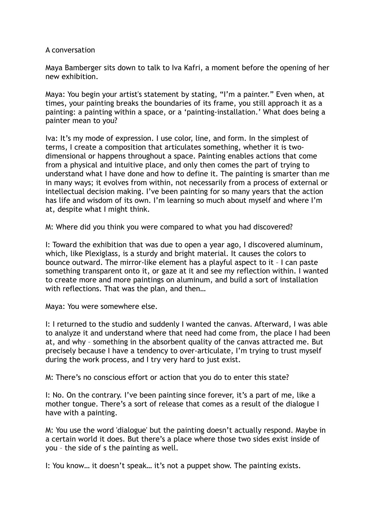## A conversation

Maya Bamberger sits down to talk to Iva Kafri, a moment before the opening of her new exhibition.

Maya: You begin your artist's statement by stating, "I'm a painter." Even when, at times, your painting breaks the boundaries of its frame, you still approach it as a painting: a painting within a space, or a 'painting-installation.' What does being a painter mean to you?

Iva: It's my mode of expression. I use color, line, and form. In the simplest of terms, I create a composition that articulates something, whether it is twodimensional or happens throughout a space. Painting enables actions that come from a physical and intuitive place, and only then comes the part of trying to understand what I have done and how to define it. The painting is smarter than me in many ways; it evolves from within, not necessarily from a process of external or intellectual decision making. I've been painting for so many years that the action has life and wisdom of its own. I'm learning so much about myself and where I'm at, despite what I might think.

M: Where did you think you were compared to what you had discovered?

I: Toward the exhibition that was due to open a year ago, I discovered aluminum, which, like Plexiglass, is a sturdy and bright material. It causes the colors to bounce outward. The mirror-like element has a playful aspect to it – I can paste something transparent onto it, or gaze at it and see my reflection within. I wanted to create more and more paintings on aluminum, and build a sort of installation with reflections. That was the plan, and then…

Maya: You were somewhere else.

I: I returned to the studio and suddenly I wanted the canvas. Afterward, I was able to analyze it and understand where that need had come from, the place I had been at, and why – something in the absorbent quality of the canvas attracted me. But precisely because I have a tendency to over-articulate, I'm trying to trust myself during the work process, and I try very hard to just exist.

M: There's no conscious effort or action that you do to enter this state?

I: No. On the contrary. I've been painting since forever, it's a part of me, like a mother tongue. There's a sort of release that comes as a result of the dialogue I have with a painting.

M: You use the word 'dialogue' but the painting doesn't actually respond. Maybe in a certain world it does. But there's a place where those two sides exist inside of you – the side of s the painting as well.

I: You know… it doesn't speak… it's not a puppet show. The painting exists.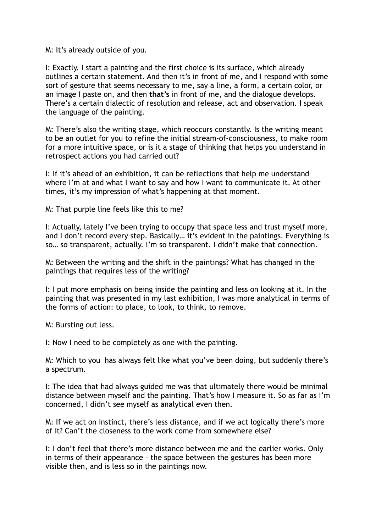M: It's already outside of you.

I: Exactly. I start a painting and the first choice is its surface, which already outlines a certain statement. And then it's in front of me, and I respond with some sort of gesture that seems necessary to me, say a line, a form, a certain color, or an image I paste on, and then **that's** in front of me, and the dialogue develops. There's a certain dialectic of resolution and release, act and observation. I speak the language of the painting.

M: There's also the writing stage, which reoccurs constantly. Is the writing meant to be an outlet for you to refine the initial stream-of-consciousness, to make room for a more intuitive space, or is it a stage of thinking that helps you understand in retrospect actions you had carried out?

I: If it's ahead of an exhibition, it can be reflections that help me understand where I'm at and what I want to say and how I want to communicate it. At other times, it's my impression of what's happening at that moment.

M: That purple line feels like this to me?

I: Actually, lately I've been trying to occupy that space less and trust myself more, and I don't record every step. Basically... it's evident in the paintings. Everything is so… so transparent, actually. I'm so transparent. I didn't make that connection.

M: Between the writing and the shift in the paintings? What has changed in the paintings that requires less of the writing?

I: I put more emphasis on being inside the painting and less on looking at it. In the painting that was presented in my last exhibition, I was more analytical in terms of the forms of action: to place, to look, to think, to remove.

M: Bursting out less.

I: Now I need to be completely as one with the painting.

M: Which to you has always felt like what you've been doing, but suddenly there's a spectrum.

I: The idea that had always guided me was that ultimately there would be minimal distance between myself and the painting. That's how I measure it. So as far as I'm concerned, I didn't see myself as analytical even then.

M: If we act on instinct, there's less distance, and if we act logically there's more of it? Can't the closeness to the work come from somewhere else?

I: I don't feel that there's more distance between me and the earlier works. Only in terms of their appearance – the space between the gestures has been more visible then, and is less so in the paintings now.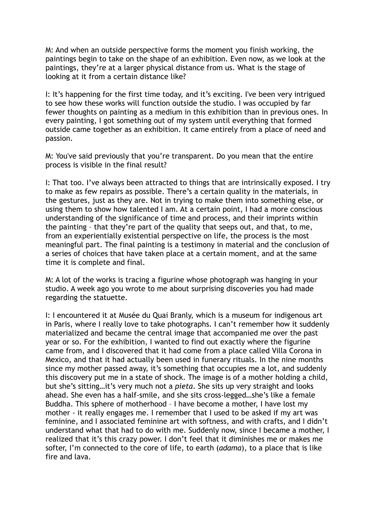M: And when an outside perspective forms the moment you finish working, the paintings begin to take on the shape of an exhibition. Even now, as we look at the paintings, they're at a larger physical distance from us. What is the stage of looking at it from a certain distance like?

I: It's happening for the first time today, and it's exciting. I've been very intrigued to see how these works will function outside the studio. I was occupied by far fewer thoughts on painting as a medium in this exhibition than in previous ones. In every painting, I got something out of my system until everything that formed outside came together as an exhibition. It came entirely from a place of need and passion.

M: You've said previously that you're transparent. Do you mean that the entire process is visible in the final result?

I: That too. I've always been attracted to things that are intrinsically exposed. I try to make as few repairs as possible. There's a certain quality in the materials, in the gestures, just as they are. Not in trying to make them into something else, or using them to show how talented I am. At a certain point, I had a more conscious understanding of the significance of time and process, and their imprints within the painting – that they're part of the quality that seeps out, and that, to me, from an experientially existential perspective on life, the process is the most meaningful part. The final painting is a testimony in material and the conclusion of a series of choices that have taken place at a certain moment, and at the same time it is complete and final.

M: A lot of the works is tracing a figurine whose photograph was hanging in your studio. A week ago you wrote to me about surprising discoveries you had made regarding the statuette.

I: I encountered it at Musée du Quai Branly, which is a museum for indigenous art in Paris, where I really love to take photographs. I can't remember how it suddenly materialized and became the central image that accompanied me over the past year or so. For the exhibition, I wanted to find out exactly where the figurine came from, and I discovered that it had come from a place called Villa Corona in Mexico, and that it had actually been used in funerary rituals. In the nine months since my mother passed away, it's something that occupies me a lot, and suddenly this discovery put me in a state of shock. The image is of a mother holding a child, but she's sitting…it's very much not a *pieta*. She sits up very straight and looks ahead. She even has a half-smile, and she sits cross-legged…she's like a female Buddha. This sphere of motherhood – I have become a mother, I have lost my mother - it really engages me. I remember that I used to be asked if my art was feminine, and I associated feminine art with softness, and with crafts, and I didn't understand what that had to do with me. Suddenly now, since I became a mother, I realized that it's this crazy power. I don't feel that it diminishes me or makes me softer, I'm connected to the core of life, to earth (*adama*), to a place that is like fire and lava.